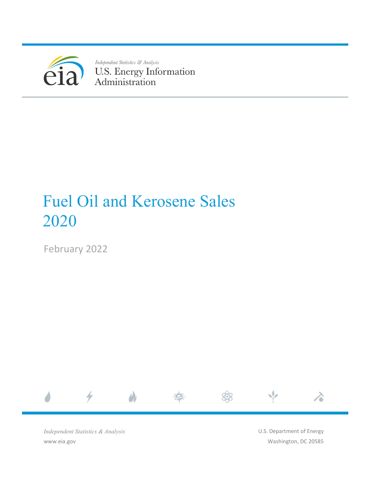

Independent Statistics & Analysis U.S. Energy Information<br>Administration

# Fuel Oil and Kerosene Sales 2020

February 2022



*Independent Statistics & Analysis* www.eia.gov

U.S. Department of Energy Washington, DC 20585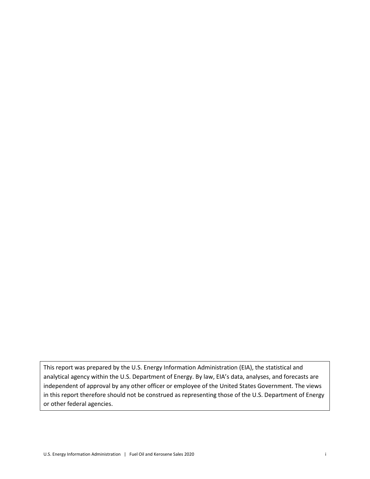This report was prepared by the U.S. Energy Information Administration (EIA), the statistical and analytical agency within the U.S. Department of Energy. By law, EIA's data, analyses, and forecasts are independent of approval by any other officer or employee of the United States Government. The views in this report therefore should not be construed as representing those of the U.S. Department of Energy or other federal agencies.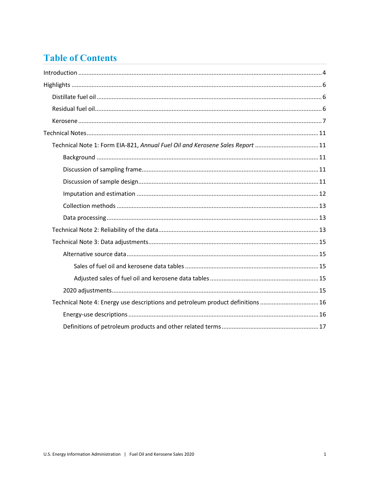# **Table of Contents**

| Technical Note 1: Form EIA-821, Annual Fuel Oil and Kerosene Sales Report 11    |
|---------------------------------------------------------------------------------|
|                                                                                 |
|                                                                                 |
|                                                                                 |
|                                                                                 |
|                                                                                 |
|                                                                                 |
|                                                                                 |
|                                                                                 |
|                                                                                 |
|                                                                                 |
|                                                                                 |
|                                                                                 |
| Technical Note 4: Energy use descriptions and petroleum product definitions  16 |
|                                                                                 |
|                                                                                 |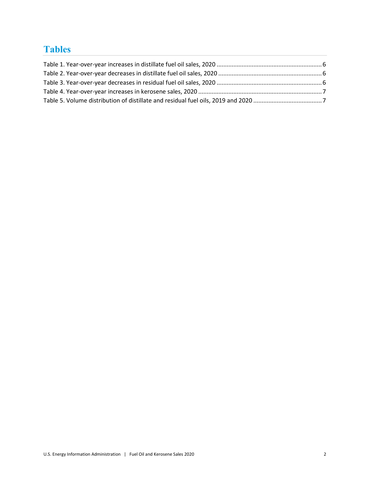# **Tables**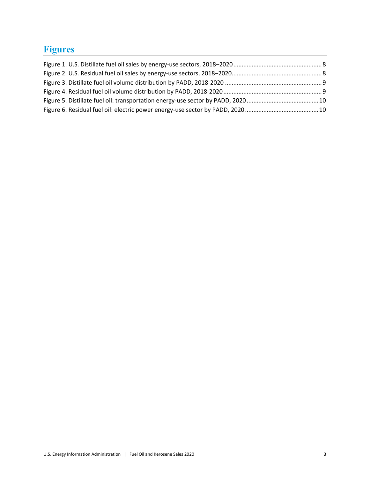# **Figures**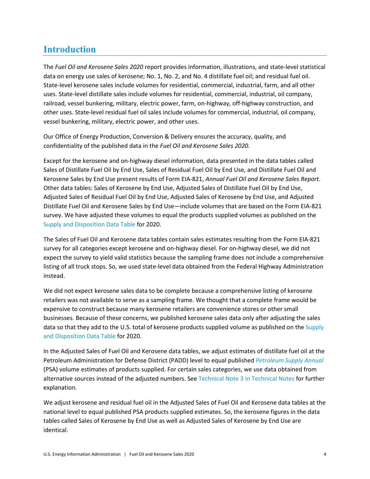## <span id="page-5-0"></span>**Introduction**

The *Fuel Oil and Kerosene Sales 2020* report provides information, illustrations, and state-level statistical data on energy use sales of kerosene; No. 1, No. 2, and No. 4 distillate fuel oil; and residual fuel oil. State-level kerosene sales include volumes for residential, commercial, industrial, farm, and all other uses. State-level distillate sales include volumes for residential, commercial, industrial, oil company, railroad, vessel bunkering, military, electric power, farm, on-highway, off-highway construction, and other uses. State-level residual fuel oil sales include volumes for commercial, industrial, oil company, vessel bunkering, military, electric power, and other uses.

Our Office of Energy Production, Conversion & Delivery ensures the accuracy, quality, and confidentiality of the published data in the *Fuel Oil and Kerosene Sales 2020*.

Except for the kerosene and on-highway diesel information, data presented in the data tables called Sales of Distillate Fuel Oil by End Use, Sales of Residual Fuel Oil by End Use, and Distillate Fuel Oil and Kerosene Sales by End Use present results of Form EIA-821, *Annual Fuel Oil and Kerosene Sales Report*. Other data tables: Sales of Kerosene by End Use, Adjusted Sales of Distillate Fuel Oil by End Use, Adjusted Sales of Residual Fuel Oil by End Use, Adjusted Sales of Kerosene by End Use, and Adjusted Distillate Fuel Oil and Kerosene Sales by End Use―include volumes that are based on the Form EIA-821 survey. We have adjusted these volumes to equal the products supplied volumes as published on the [Supply and Disposition Data Table](http://www.eia.gov/dnav/pet/pet_sum_snd_d_nus_mbbl_a_cur.htm) for 2020.

The Sales of Fuel Oil and Kerosene data tables contain sales estimates resulting from the Form EIA-821 survey for all categories except kerosene and on-highway diesel. For on-highway diesel, we did not expect the survey to yield valid statistics because the sampling frame does not include a comprehensive listing of all truck stops. So, we used state-level data obtained from the Federal Highway Administration instead.

We did not expect kerosene sales data to be complete because a comprehensive listing of kerosene retailers was not available to serve as a sampling frame. We thought that a complete frame would be expensive to construct because many kerosene retailers are convenience stores or other small businesses. Because of these concerns, we published kerosene sales data only after adjusting the sales data so that they add to the U.S. total of kerosene products supplied volume as published on the Supply [and Disposition Data Table](http://www.eia.gov/dnav/pet/pet_sum_snd_d_nus_mbbl_a_cur.htm) for 2020.

In the Adjusted Sales of Fuel Oil and Kerosene data tables, we adjust estimates of distillate fuel oil at the Petroleum Administration for Defense District (PADD) level to equal published *[Petroleum Supply Annual](http://www.eia.gov/petroleum/supply/annual/volume1/)* (PSA) volume estimates of products supplied. For certain sales categories, we use data obtained from alternative sources instead of the adjusted numbers. Se[e Technical Note 3 in Technical Notes](#page-16-1) for further explanation.

We adjust kerosene and residual fuel oil in the Adjusted Sales of Fuel Oil and Kerosene data tables at the national level to equal published PSA products supplied estimates. So, the kerosene figures in the data tables called Sales of Kerosene by End Use as well as Adjusted Sales of Kerosene by End Use are identical.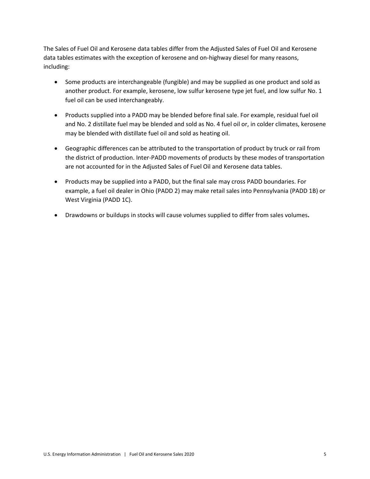The Sales of Fuel Oil and Kerosene data tables differ from the Adjusted Sales of Fuel Oil and Kerosene data tables estimates with the exception of kerosene and on-highway diesel for many reasons, including:

- Some products are interchangeable (fungible) and may be supplied as one product and sold as another product. For example, kerosene, low sulfur kerosene type jet fuel, and low sulfur No. 1 fuel oil can be used interchangeably.
- Products supplied into a PADD may be blended before final sale. For example, residual fuel oil and No. 2 distillate fuel may be blended and sold as No. 4 fuel oil or, in colder climates, kerosene may be blended with distillate fuel oil and sold as heating oil.
- Geographic differences can be attributed to the transportation of product by truck or rail from the district of production. Inter-PADD movements of products by these modes of transportation are not accounted for in the Adjusted Sales of Fuel Oil and Kerosene data tables.
- Products may be supplied into a PADD, but the final sale may cross PADD boundaries. For example, a fuel oil dealer in Ohio (PADD 2) may make retail sales into Pennsylvania (PADD 1B) or West Virginia (PADD 1C).
- Drawdowns or buildups in stocks will cause volumes supplied to differ from sales volumes**.**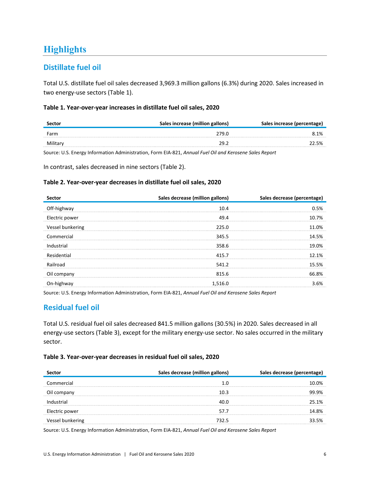# <span id="page-7-0"></span>**Highlights**

### <span id="page-7-1"></span>**Distillate fuel oil**

Total U.S. distillate fuel oil sales decreased 3,969.3 million gallons (6.3%) during 2020. Sales increased in two energy-use sectors (Table 1).

#### <span id="page-7-3"></span>**Table 1. Year-over-year increases in distillate fuel oil sales, 2020**

| Sector   | Sales increase (million gallons) |       |  |
|----------|----------------------------------|-------|--|
| Farm     | 279.0                            | 8.1%  |  |
| Military | າດ                               | 22.5% |  |

Source: U.S. Energy Information Administration, Form EIA-821, *Annual Fuel Oil and Kerosene Sales Report*

In contrast, sales decreased in nine sectors (Table 2).

#### <span id="page-7-4"></span>**Table 2. Year-over-year decreases in distillate fuel oil sales, 2020**

| Sector           | Sales decrease (million gallons) | Sales decrease (percentage) |
|------------------|----------------------------------|-----------------------------|
| Off-highway      | 10.4                             | 0.5%                        |
| Electric power   | 49.4                             | 10.7%                       |
| Vessel bunkering | 225.0                            | 11.0%                       |
| Commercial       | 345.5                            | 14.5%                       |
| Industrial       | 358.6                            | 19.0%                       |
| Residential      | 415.7                            | 12.1%                       |
| Railroad         | 541.2                            | 15.5%                       |
| Oil company      | 815.6                            | 66.8%                       |
| On-highway       | 1,516.0                          | 3.6%                        |

Source: U.S. Energy Information Administration, Form EIA-821, *Annual Fuel Oil and Kerosene Sales Report*

### <span id="page-7-2"></span>**Residual fuel oil**

Total U.S. residual fuel oil sales decreased 841.5 million gallons (30.5%) in 2020. Sales decreased in all energy-use sectors (Table 3), except for the military energy-use sector. No sales occurred in the military sector.

#### <span id="page-7-5"></span>**Table 3. Year-over-year decreases in residual fuel oil sales, 2020**

|                | Sales decrease (million gallons) | Sales decrease (percentage) |  |  |
|----------------|----------------------------------|-----------------------------|--|--|
| Commercial     |                                  | በ%                          |  |  |
|                | 10 3                             |                             |  |  |
|                |                                  | 25. 1%                      |  |  |
| Electric power | 57.7                             | 8%                          |  |  |
| bunkering      | 732.5                            | 5%                          |  |  |

Source: U.S. Energy Information Administration, Form EIA-821, *Annual Fuel Oil and Kerosene Sales Report*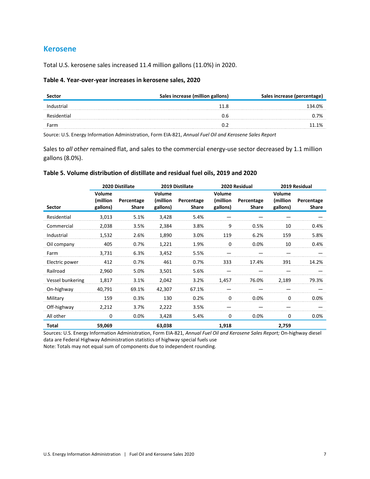#### <span id="page-8-0"></span>**Kerosene**

Total U.S. kerosene sales increased 11.4 million gallons (11.0%) in 2020.

#### <span id="page-8-1"></span>**Table 4. Year-over-year increases in kerosene sales, 2020**

|      | Sales increase (million gallons) | Sales increase (percentage) |
|------|----------------------------------|-----------------------------|
|      |                                  | 134.0%                      |
|      |                                  | ባ.7%                        |
| Farm |                                  |                             |

Source: U.S. Energy Information Administration, Form EIA-821, *Annual Fuel Oil and Kerosene Sales Report*

Sales to *all other* remained flat, and sales to the commercial energy-use sector decreased by 1.1 million gallons (8.0%).

#### <span id="page-8-2"></span>**Table 5. Volume distribution of distillate and residual fuel oils, 2019 and 2020**

|                  |                                | 2020 Distillate     |                                | 2019 Distillate     |                                | 2020 Residual       |                                | 2019 Residual       |
|------------------|--------------------------------|---------------------|--------------------------------|---------------------|--------------------------------|---------------------|--------------------------------|---------------------|
| Sector           | Volume<br>(million<br>gallons) | Percentage<br>Share | Volume<br>(million<br>gallons) | Percentage<br>Share | Volume<br>(million<br>gallons) | Percentage<br>Share | Volume<br>(million<br>gallons) | Percentage<br>Share |
| Residential      | 3,013                          | 5.1%                | 3,428                          | 5.4%                |                                |                     |                                |                     |
| Commercial       | 2,038                          | 3.5%                | 2,384                          | 3.8%                | 9                              | 0.5%                | 10                             | 0.4%                |
| Industrial       | 1,532                          | 2.6%                | 1,890                          | 3.0%                | 119                            | 6.2%                | 159                            | 5.8%                |
| Oil company      | 405                            | 0.7%                | 1,221                          | 1.9%                | $\Omega$                       | 0.0%                | 10                             | 0.4%                |
| Farm             | 3,731                          | 6.3%                | 3,452                          | 5.5%                |                                |                     |                                |                     |
| Electric power   | 412                            | 0.7%                | 461                            | 0.7%                | 333                            | 17.4%               | 391                            | 14.2%               |
| Railroad         | 2,960                          | 5.0%                | 3,501                          | 5.6%                |                                |                     |                                |                     |
| Vessel bunkering | 1,817                          | 3.1%                | 2,042                          | 3.2%                | 1,457                          | 76.0%               | 2,189                          | 79.3%               |
| On-highway       | 40,791                         | 69.1%               | 42,307                         | 67.1%               |                                |                     |                                |                     |
| Military         | 159                            | 0.3%                | 130                            | 0.2%                | $\Omega$                       | 0.0%                | $\Omega$                       | 0.0%                |
| Off-highway      | 2,212                          | 3.7%                | 2,222                          | 3.5%                |                                |                     |                                |                     |
| All other        | 0                              | 0.0%                | 3,428                          | 5.4%                | 0                              | $0.0\%$             | 0                              | 0.0%                |
| Total            | 59,069                         |                     | 63,038                         |                     | 1,918                          |                     | 2,759                          |                     |

Sources: U.S. Energy Information Administration, Form EIA-821, *Annual Fuel Oil and Kerosene Sales Report;* On-highway diesel data are Federal Highway Administration statistics of highway special fuels use

Note: Totals may not equal sum of components due to independent rounding.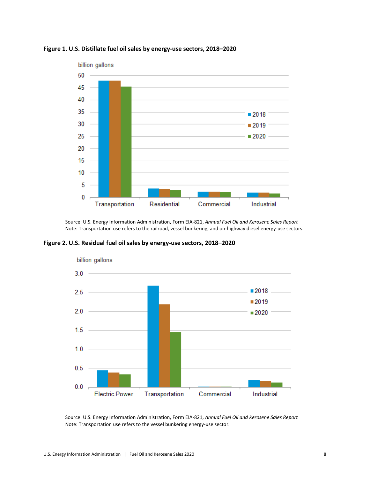

<span id="page-9-0"></span>

Source: U.S. Energy Information Administration, Form EIA-821, *Annual Fuel Oil and Kerosene Sales Report* Note: Transportation use refers to the railroad, vessel bunkering, and on-highway diesel energy-use sectors.

<span id="page-9-1"></span>**Figure 2. U.S. Residual fuel oil sales by energy-use sectors, 2018–2020**



Source: U.S. Energy Information Administration, Form EIA-821, *Annual Fuel Oil and Kerosene Sales Report* Note: Transportation use refers to the vessel bunkering energy-use sector.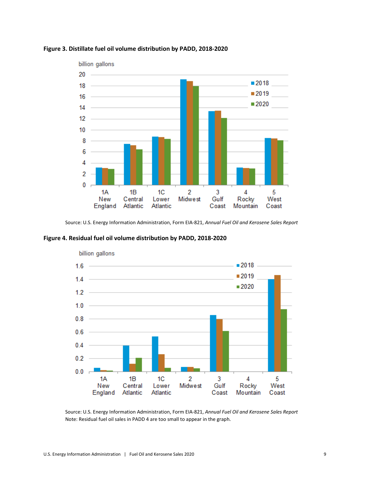

#### <span id="page-10-0"></span>**Figure 3. Distillate fuel oil volume distribution by PADD, 2018-2020**

Source: U.S. Energy Information Administration, Form EIA-821, *Annual Fuel Oil and Kerosene Sales Report*

<span id="page-10-1"></span>



billion gallons

Source: U.S. Energy Information Administration, Form EIA-821, *Annual Fuel Oil and Kerosene Sales Report* Note: Residual fuel oil sales in PADD 4 are too small to appear in the graph.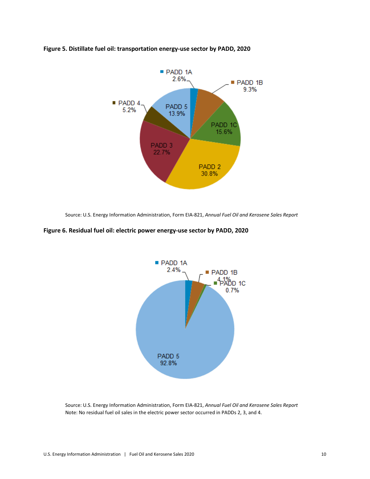

#### <span id="page-11-0"></span>**Figure 5. Distillate fuel oil: transportation energy-use sector by PADD, 2020**

Source: U.S. Energy Information Administration, Form EIA-821, *Annual Fuel Oil and Kerosene Sales Report*

#### <span id="page-11-1"></span>**Figure 6. Residual fuel oil: electric power energy-use sector by PADD, 2020**



Source: U.S. Energy Information Administration, Form EIA-821, *Annual Fuel Oil and Kerosene Sales Report* Note: No residual fuel oil sales in the electric power sector occurred in PADDs 2, 3, and 4.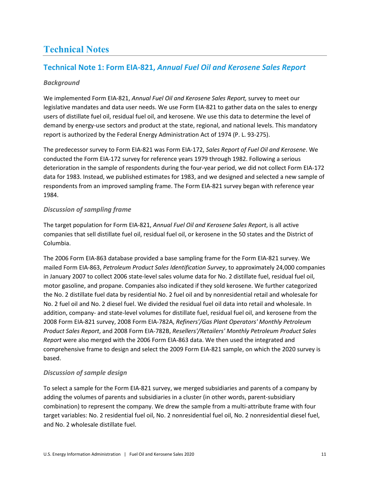# <span id="page-12-0"></span>**Technical Notes**

### <span id="page-12-1"></span>**Technical Note 1: Form EIA-821,** *Annual Fuel Oil and Kerosene Sales Report*

#### <span id="page-12-2"></span>*Background*

We implemented Form EIA-821, *Annual Fuel Oil and Kerosene Sales Report,* survey to meet our legislative mandates and data user needs. We use Form EIA-821 to gather data on the sales to energy users of distillate fuel oil, residual fuel oil, and kerosene. We use this data to determine the level of demand by energy-use sectors and product at the state, regional, and national levels. This mandatory report is authorized by the Federal Energy Administration Act of 1974 (P. L. 93-275).

The predecessor survey to Form EIA-821 was Form EIA-172, *Sales Report of Fuel Oil and Kerosene*. We conducted the Form EIA-172 survey for reference years 1979 through 1982. Following a serious deterioration in the sample of respondents during the four-year period, we did not collect Form EIA-172 data for 1983. Instead, we published estimates for 1983, and we designed and selected a new sample of respondents from an improved sampling frame. The Form EIA-821 survey began with reference year 1984.

#### <span id="page-12-3"></span>*Discussion of sampling frame*

The target population for Form EIA-821, *Annual Fuel Oil and Kerosene Sales Report*, is all active companies that sell distillate fuel oil, residual fuel oil, or kerosene in the 50 states and the District of Columbia.

The 2006 Form EIA-863 database provided a base sampling frame for the Form EIA-821 survey. We mailed Form EIA-863, *Petroleum Product Sales Identification Survey*, to approximately 24,000 companies in January 2007 to collect 2006 state-level sales volume data for No. 2 distillate fuel, residual fuel oil, motor gasoline, and propane. Companies also indicated if they sold kerosene. We further categorized the No. 2 distillate fuel data by residential No. 2 fuel oil and by nonresidential retail and wholesale for No. 2 fuel oil and No. 2 diesel fuel. We divided the residual fuel oil data into retail and wholesale. In addition, company- and state-level volumes for distillate fuel, residual fuel oil, and kerosene from the 2008 Form EIA-821 survey, 2008 Form EIA-782A, *Refiners'/Gas Plant Operators' Monthly Petroleum Product Sales Report*, and 2008 Form EIA-782B, *Resellers'/Retailers' Monthly Petroleum Product Sales Report* were also merged with the 2006 Form EIA-863 data. We then used the integrated and comprehensive frame to design and select the 2009 Form EIA-821 sample, on which the 2020 survey is based.

#### <span id="page-12-4"></span>*Discussion of sample design*

To select a sample for the Form EIA-821 survey, we merged subsidiaries and parents of a company by adding the volumes of parents and subsidiaries in a cluster (in other words, parent-subsidiary combination) to represent the company. We drew the sample from a multi-attribute frame with four target variables: No. 2 residential fuel oil, No. 2 nonresidential fuel oil, No. 2 nonresidential diesel fuel, and No. 2 wholesale distillate fuel.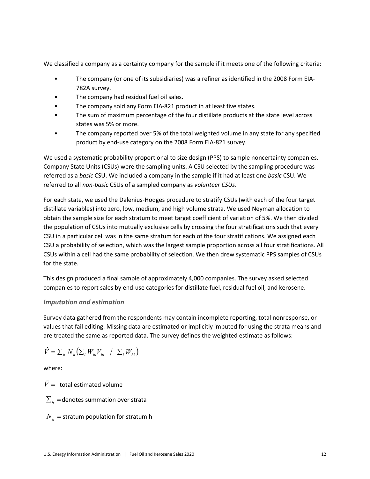We classified a company as a certainty company for the sample if it meets one of the following criteria:

- The company (or one of its subsidiaries) was a refiner as identified in the 2008 Form EIA-782A survey.
- The company had residual fuel oil sales.
- The company sold any Form EIA-821 product in at least five states.
- The sum of maximum percentage of the four distillate products at the state level across states was 5% or more.
- The company reported over 5% of the total weighted volume in any state for any specified product by end-use category on the 2008 Form EIA-821 survey.

We used a systematic probability proportional to size design (PPS) to sample noncertainty companies. Company State Units (CSUs) were the sampling units. A CSU selected by the sampling procedure was referred as a *basic* CSU. We included a company in the sample if it had at least one *basic* CSU. We referred to all *non-basic* CSUs of a sampled company as *volunteer CSUs*.

For each state, we used the Dalenius-Hodges procedure to stratify CSUs (with each of the four target distillate variables) into zero, low, medium, and high volume strata. We used Neyman allocation to obtain the sample size for each stratum to meet target coefficient of variation of 5%. We then divided the population of CSUs into mutually exclusive cells by crossing the four stratifications such that every CSU in a particular cell was in the same stratum for each of the four stratifications. We assigned each CSU a probability of selection, which was the largest sample proportion across all four stratifications. All CSUs within a cell had the same probability of selection. We then drew systematic PPS samples of CSUs for the state.

This design produced a final sample of approximately 4,000 companies. The survey asked selected companies to report sales by end-use categories for distillate fuel, residual fuel oil, and kerosene.

#### <span id="page-13-0"></span>*Imputation and estimation*

Survey data gathered from the respondents may contain incomplete reporting, total nonresponse, or values that fail editing. Missing data are estimated or implicitly imputed for using the strata means and are treated the same as reported data. The survey defines the weighted estimate as follows:

$$
\hat{V} = \sum_{h} N_h \left( \sum_{i} W_{hi} V_{hi} \ / \ \sum_{i} W_{hi} \right)
$$

where:

 $\hat{V}$  = total estimated volume

 $\sum_{h}$  =denotes summation over strata

 $N_h$  = stratum population for stratum h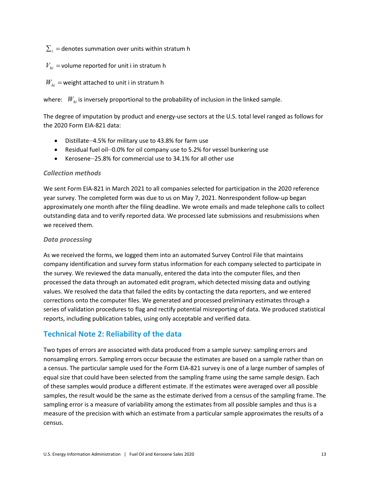$\sum_i$  = denotes summation over units within stratum h

#### $V_{hi}$  = volume reported for unit i in stratum h

#### $W_{hi}$  = weight attached to unit i in stratum h

where:  $W_{hi}$  is inversely proportional to the probability of inclusion in the linked sample.

The degree of imputation by product and energy-use sectors at the U.S. total level ranged as follows for the 2020 Form EIA-821 data:

- Distillate—4.5% for military use to 43.8% for farm use
- Residual fuel oil—0.0% for oil company use to 5.2% for vessel bunkering use
- Kerosene—25.8% for commercial use to 34.1% for all other use

#### <span id="page-14-0"></span>*Collection methods*

We sent Form EIA-821 in March 2021 to all companies selected for participation in the 2020 reference year survey. The completed form was due to us on May 7, 2021. Nonrespondent follow-up began approximately one month after the filing deadline. We wrote emails and made telephone calls to collect outstanding data and to verify reported data. We processed late submissions and resubmissions when we received them.

#### <span id="page-14-1"></span>*Data processing*

As we received the forms, we logged them into an automated Survey Control File that maintains company identification and survey form status information for each company selected to participate in the survey. We reviewed the data manually, entered the data into the computer files, and then processed the data through an automated edit program, which detected missing data and outlying values. We resolved the data that failed the edits by contacting the data reporters, and we entered corrections onto the computer files. We generated and processed preliminary estimates through a series of validation procedures to flag and rectify potential misreporting of data. We produced statistical reports, including publication tables, using only acceptable and verified data.

### <span id="page-14-2"></span>**Technical Note 2: Reliability of the data**

Two types of errors are associated with data produced from a sample survey: sampling errors and nonsampling errors. Sampling errors occur because the estimates are based on a sample rather than on a census. The particular sample used for the Form EIA-821 survey is one of a large number of samples of equal size that could have been selected from the sampling frame using the same sample design. Each of these samples would produce a different estimate. If the estimates were averaged over all possible samples, the result would be the same as the estimate derived from a census of the sampling frame. The sampling error is a measure of variability among the estimates from all possible samples and thus is a measure of the precision with which an estimate from a particular sample approximates the results of a census.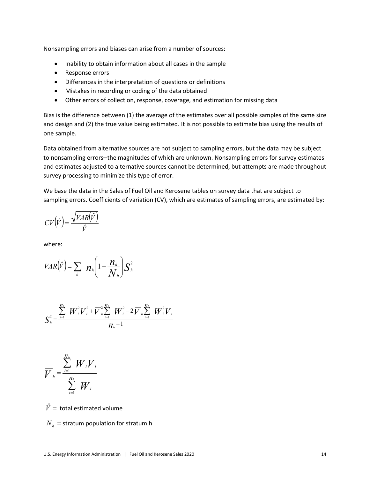Nonsampling errors and biases can arise from a number of sources:

- Inability to obtain information about all cases in the sample
- Response errors
- Differences in the interpretation of questions or definitions
- Mistakes in recording or coding of the data obtained
- Other errors of collection, response, coverage, and estimation for missing data

Bias is the difference between (1) the average of the estimates over all possible samples of the same size and design and (2) the true value being estimated. It is not possible to estimate bias using the results of one sample.

Data obtained from alternative sources are not subject to sampling errors, but the data may be subject to nonsampling errors—the magnitudes of which are unknown. Nonsampling errors for survey estimates and estimates adjusted to alternative sources cannot be determined, but attempts are made throughout survey processing to minimize this type of error.

We base the data in the Sales of Fuel Oil and Kerosene tables on survey data that are subject to sampling errors. Coefficients of variation (CV), which are estimates of sampling errors, are estimated by:

$$
CV(\hat{V}) = \frac{\sqrt{VAR(\hat{V})}}{\hat{V}}
$$

where:

$$
VAR(\hat{V}) = \sum_{h} n_{h} \left( 1 - \frac{n_{h}}{N_{h}} \right) S_{h}^{2}
$$

$$
S_{\scriptscriptstyle h}^{2} = \frac{\sum\limits_{i=1}^{n_{\scriptscriptstyle h}} W_{\scriptscriptstyle i}^{2} V_{\scriptscriptstyle i}^{2} + \overline{V}_{\scriptscriptstyle h}^{2} \sum\limits_{i=1}^{n_{\scriptscriptstyle h}} W_{\scriptscriptstyle i}^{2} - 2 \, \overline{V}_{\scriptscriptstyle h} \sum\limits_{i=1}^{n_{\scriptscriptstyle h}} W_{\scriptscriptstyle i}^{2} V_{\scriptscriptstyle h}}{\overline{N}_{\scriptscriptstyle h} - 1}
$$

$$
\overline{V}_{h} = \frac{\sum_{i=1}^{n_{h}} W_{i} V_{i}}{\sum_{i=1}^{n_{h}} W_{i}}
$$

 $\hat{V}$  = total estimated volume

 $N<sub>h</sub>$  = stratum population for stratum h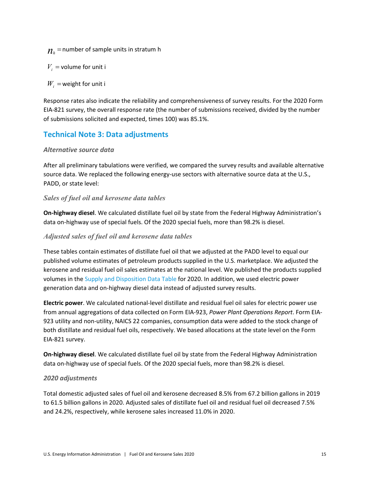$n_{\mu}$  = number of sample units in stratum h

 $V_i$  = volume for unit i

 $W_i$  = weight for unit i

Response rates also indicate the reliability and comprehensiveness of survey results. For the 2020 Form EIA-821 survey, the overall response rate (the number of submissions received, divided by the number of submissions solicited and expected, times 100) was 85.1%.

### <span id="page-16-0"></span>**Technical Note 3: Data adjustments**

#### <span id="page-16-1"></span>*Alternative source data*

After all preliminary tabulations were verified, we compared the survey results and available alternative source data. We replaced the following energy-use sectors with alternative source data at the U.S., PADD, or state level:

#### <span id="page-16-2"></span>*Sales of fuel oil and kerosene data tables*

**On-highway diesel**. We calculated distillate fuel oil by state from the Federal Highway Administration's data on-highway use of special fuels. Of the 2020 special fuels, more than 98.2% is diesel.

#### <span id="page-16-3"></span>*Adjusted sales of fuel oil and kerosene data tables*

These tables contain estimates of distillate fuel oil that we adjusted at the PADD level to equal our published volume estimates of petroleum products supplied in the U.S. marketplace. We adjusted the kerosene and residual fuel oil sales estimates at the national level. We published the products supplied volumes in the [Supply and Disposition Data Table](http://www.eia.gov/dnav/pet/pet_sum_snd_d_nus_mbbl_a_cur.htm) for 2020. In addition, we used electric power generation data and on-highway diesel data instead of adjusted survey results.

**Electric power**. We calculated national-level distillate and residual fuel oil sales for electric power use from annual aggregations of data collected on Form EIA-923, *Power Plant Operations Report*. Form EIA-923 utility and non-utility, NAICS 22 companies, consumption data were added to the stock change of both distillate and residual fuel oils, respectively. We based allocations at the state level on the Form EIA-821 survey.

**On-highway diesel**. We calculated distillate fuel oil by state from the Federal Highway Administration data on-highway use of special fuels. Of the 2020 special fuels, more than 98.2% is diesel.

#### <span id="page-16-4"></span>*2020 adjustments*

Total domestic adjusted sales of fuel oil and kerosene decreased 8.5% from 67.2 billion gallons in 2019 to 61.5 billion gallons in 2020. Adjusted sales of distillate fuel oil and residual fuel oil decreased 7.5% and 24.2%, respectively, while kerosene sales increased 11.0% in 2020.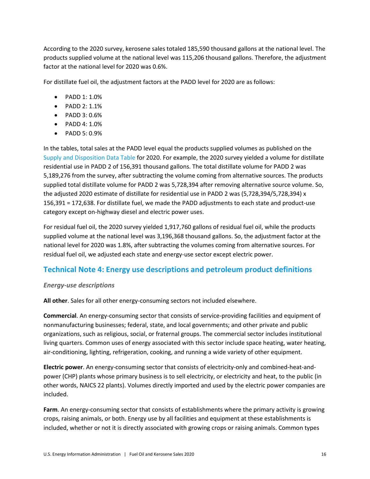According to the 2020 survey, kerosene sales totaled 185,590 thousand gallons at the national level. The products supplied volume at the national level was 115,206 thousand gallons. Therefore, the adjustment factor at the national level for 2020 was 0.6%.

For distillate fuel oil, the adjustment factors at the PADD level for 2020 are as follows:

- PADD 1: 1.0%
- PADD 2: 1.1%
- PADD 3: 0.6%
- PADD 4: 1.0%
- PADD 5: 0.9%

In the tables, total sales at the PADD level equal the products supplied volumes as published on the [Supply and Disposition Data Table](http://www.eia.gov/dnav/pet/pet_sum_snd_d_nus_mbbl_a_cur.htm) for 2020. For example, the 2020 survey yielded a volume for distillate residential use in PADD 2 of 156,391 thousand gallons. The total distillate volume for PADD 2 was 5,189,276 from the survey, after subtracting the volume coming from alternative sources. The products supplied total distillate volume for PADD 2 was 5,728,394 after removing alternative source volume. So, the adjusted 2020 estimate of distillate for residential use in PADD 2 was (5,728,394/5,728,394) x 156,391 = 172,638. For distillate fuel, we made the PADD adjustments to each state and product-use category except on-highway diesel and electric power uses.

For residual fuel oil, the 2020 survey yielded 1,917,760 gallons of residual fuel oil, while the products supplied volume at the national level was 3,196,368 thousand gallons. So, the adjustment factor at the national level for 2020 was 1.8%, after subtracting the volumes coming from alternative sources. For residual fuel oil, we adjusted each state and energy-use sector except electric power.

### <span id="page-17-0"></span>**Technical Note 4: Energy use descriptions and petroleum product definitions**

#### <span id="page-17-1"></span>*Energy-use descriptions*

**All other**. Sales for all other energy-consuming sectors not included elsewhere.

**Commercial**. An energy-consuming sector that consists of service-providing facilities and equipment of nonmanufacturing businesses; federal, state, and local governments; and other private and public organizations, such as religious, social, or fraternal groups. The commercial sector includes institutional living quarters. Common uses of energy associated with this sector include space heating, water heating, air-conditioning, lighting, refrigeration, cooking, and running a wide variety of other equipment.

**Electric power**. An energy-consuming sector that consists of electricity-only and combined-heat-andpower (CHP) plants whose primary business is to sell electricity, or electricity and heat, to the public (in other words, NAICS 22 plants). Volumes directly imported and used by the electric power companies are included.

**Farm**. An energy-consuming sector that consists of establishments where the primary activity is growing crops, raising animals, or both. Energy use by all facilities and equipment at these establishments is included, whether or not it is directly associated with growing crops or raising animals. Common types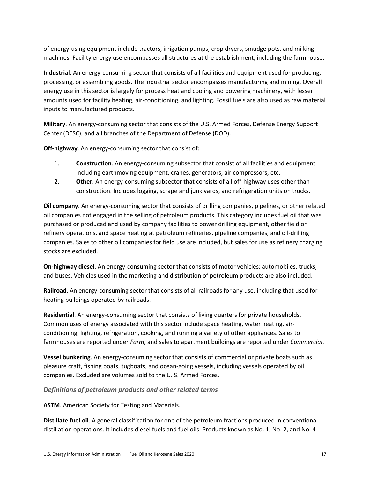of energy-using equipment include tractors, irrigation pumps, crop dryers, smudge pots, and milking machines. Facility energy use encompasses all structures at the establishment, including the farmhouse.

**Industrial**. An energy-consuming sector that consists of all facilities and equipment used for producing, processing, or assembling goods. The industrial sector encompasses manufacturing and mining. Overall energy use in this sector is largely for process heat and cooling and powering machinery, with lesser amounts used for facility heating, air-conditioning, and lighting. Fossil fuels are also used as raw material inputs to manufactured products.

**Military**. An energy-consuming sector that consists of the U.S. Armed Forces, Defense Energy Support Center (DESC), and all branches of the Department of Defense (DOD).

**Off-highway**. An energy-consuming sector that consist of:

- 1. **Construction**. An energy-consuming subsector that consist of all facilities and equipment including earthmoving equipment, cranes, generators, air compressors, etc.
- 2. **Other**. An energy-consuming subsector that consists of all off-highway uses other than construction. Includes logging, scrape and junk yards, and refrigeration units on trucks.

**Oil company**. An energy-consuming sector that consists of drilling companies, pipelines, or other related oil companies not engaged in the selling of petroleum products. This category includes fuel oil that was purchased or produced and used by company facilities to power drilling equipment, other field or refinery operations, and space heating at petroleum refineries, pipeline companies, and oil-drilling companies. Sales to other oil companies for field use are included, but sales for use as refinery charging stocks are excluded.

**On-highway diesel**. An energy-consuming sector that consists of motor vehicles: automobiles, trucks, and buses. Vehicles used in the marketing and distribution of petroleum products are also included.

**Railroad**. An energy-consuming sector that consists of all railroads for any use, including that used for heating buildings operated by railroads.

**Residential**. An energy-consuming sector that consists of living quarters for private households. Common uses of energy associated with this sector include space heating, water heating, airconditioning, lighting, refrigeration, cooking, and running a variety of other appliances. Sales to farmhouses are reported under *Farm*, and sales to apartment buildings are reported under *Commercial*.

**Vessel bunkering**. An energy-consuming sector that consists of commercial or private boats such as pleasure craft, fishing boats, tugboats, and ocean-going vessels, including vessels operated by oil companies. Excluded are volumes sold to the U. S. Armed Forces.

#### <span id="page-18-0"></span>*Definitions of petroleum products and other related terms*

**ASTM**. American Society for Testing and Materials.

**Distillate fuel oil**. A general classification for one of the petroleum fractions produced in conventional distillation operations. It includes diesel fuels and fuel oils. Products known as No. 1, No. 2, and No. 4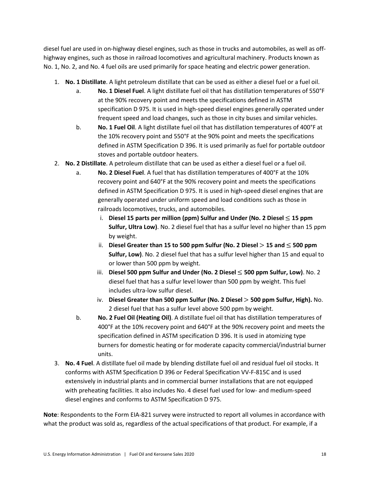diesel fuel are used in on-highway diesel engines, such as those in trucks and automobiles, as well as offhighway engines, such as those in railroad locomotives and agricultural machinery. Products known as No. 1, No. 2, and No. 4 fuel oils are used primarily for space heating and electric power generation.

- 1. **No. 1 Distillate**. A light petroleum distillate that can be used as either a diesel fuel or a fuel oil.
	- a. **No. 1 Diesel Fuel**. A light distillate fuel oil that has distillation temperatures of 550°F at the 90% recovery point and meets the specifications defined in ASTM specification D 975. It is used in high-speed diesel engines generally operated under frequent speed and load changes, such as those in city buses and similar vehicles.
	- b. **No. 1 Fuel Oil**. A light distillate fuel oil that has distillation temperatures of 400°F at the 10% recovery point and 550°F at the 90% point and meets the specifications defined in ASTM Specification D 396. It is used primarily as fuel for portable outdoor stoves and portable outdoor heaters.
- 2. **No. 2 Distillate**. A petroleum distillate that can be used as either a diesel fuel or a fuel oil.
	- a. **No. 2 Diesel Fuel**. A fuel that has distillation temperatures of 400°F at the 10% recovery point and 640°F at the 90% recovery point and meets the specifications defined in ASTM Specification D 975. It is used in high-speed diesel engines that are generally operated under uniform speed and load conditions such as those in railroads locomotives, trucks, and automobiles.
		- i. **Diesel 15 parts per million (ppm) Sulfur and Under (No. 2 Diesel** ≤ **15 ppm Sulfur, Ultra Low)**. No. 2 diesel fuel that has a sulfur level no higher than 15 ppm by weight.
		- ii. **Diesel Greater than 15 to 500 ppm Sulfur (No. 2 Diesel** > **15 and** ≤ **500 ppm Sulfur, Low)**. No. 2 diesel fuel that has a sulfur level higher than 15 and equal to or lower than 500 ppm by weight.
		- iii. **Diesel 500 ppm Sulfur and Under (No. 2 Diesel** ≤ **500 ppm Sulfur, Low)**. No. 2 diesel fuel that has a sulfur level lower than 500 ppm by weight. This fuel includes ultra-low sulfur diesel.
		- iv. **Diesel Greater than 500 ppm Sulfur (No. 2 Diesel** > **500 ppm Sulfur, High).** No. 2 diesel fuel that has a sulfur level above 500 ppm by weight.
	- b. **No. 2 Fuel Oil (Heating Oil)**. A distillate fuel oil that has distillation temperatures of 400°F at the 10% recovery point and 640°F at the 90% recovery point and meets the specification defined in ASTM specification D 396. It is used in atomizing type burners for domestic heating or for moderate capacity commercial/industrial burner units.
- 3. **No. 4 Fuel**. A distillate fuel oil made by blending distillate fuel oil and residual fuel oil stocks. It conforms with ASTM Specification D 396 or Federal Specification VV-F-815C and is used extensively in industrial plants and in commercial burner installations that are not equipped with preheating facilities. It also includes No. 4 diesel fuel used for low- and medium-speed diesel engines and conforms to ASTM Specification D 975.

**Note**: Respondents to the Form EIA-821 survey were instructed to report all volumes in accordance with what the product was sold as, regardless of the actual specifications of that product. For example, if a